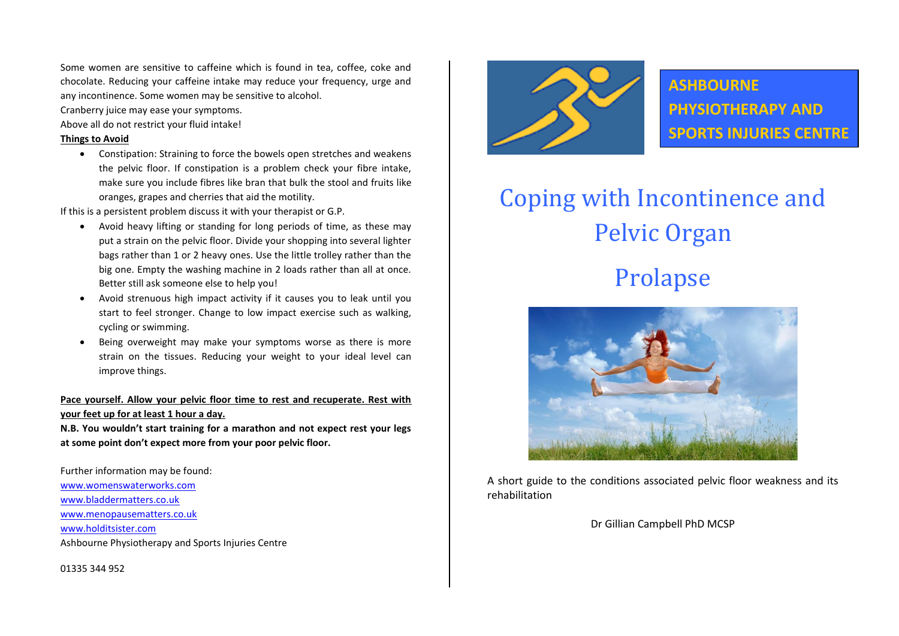Some women are sensitive to caffeine which is found in tea, coffee, coke and chocolate. Reducing your caffeine intake may reduce your frequency, urge and any incontinence. Some women may be sensitive to alcohol.

Cranberry juice may ease your symptoms.

Above all do not restrict your fluid intake!

#### **Things to Avoid**

• Constipation: Straining to force the bowels open stretches and weakens the pelvic floor. If constipation is a problem check your fibre intake, make sure you include fibres like bran that bulk the stool and fruits like oranges, grapes and cherries that aid the motility.

If this is a persistent problem discuss it with your therapist or G.P.

- Avoid heavy lifting or standing for long periods of time, as these may put a strain on the pelvic floor. Divide your shopping into several lighter bags rather than 1 or 2 heavy ones. Use the little trolley rather than the big one. Empty the washing machine in 2 loads rather than all at once. Better still ask someone else to help you!
- Avoid strenuous high impact activity if it causes you to leak until you start to feel stronger. Change to low impact exercise such as walking, cycling or swimming.
- Being overweight may make your symptoms worse as there is more strain on the tissues. Reducing your weight to your ideal level can improve things.

# **Pace yourself. Allow your pelvic floor time to rest and recuperate. Rest with your feet up for at least 1 hour a day.**

**N.B. You wouldn't start training for a marathon and not expect rest your legs at some point don't expect more from your poor pelvic floor.**

Further information may be found: [www.womenswaterworks.com](http://www.womenswaterworks.com/) [www.bladdermatters.co.uk](http://www.bladdermatters.co.uk/) [www.menopausematters.co.uk](http://www.menopausematters.co.uk/) [www.holditsister.com](http://www.holditsister.com/) Ashbourne Physiotherapy and Sports Injuries Centre

01335 344 952



**ASHBOURNE PHYSIOTHERAPY AND SPORTS INJURIES CENTRE**

# Coping with Incontinence and Pelvic Organ Prolapse



A short guide to the conditions associated pelvic floor weakness and its rehabilitation

Dr Gillian Campbell PhD MCSP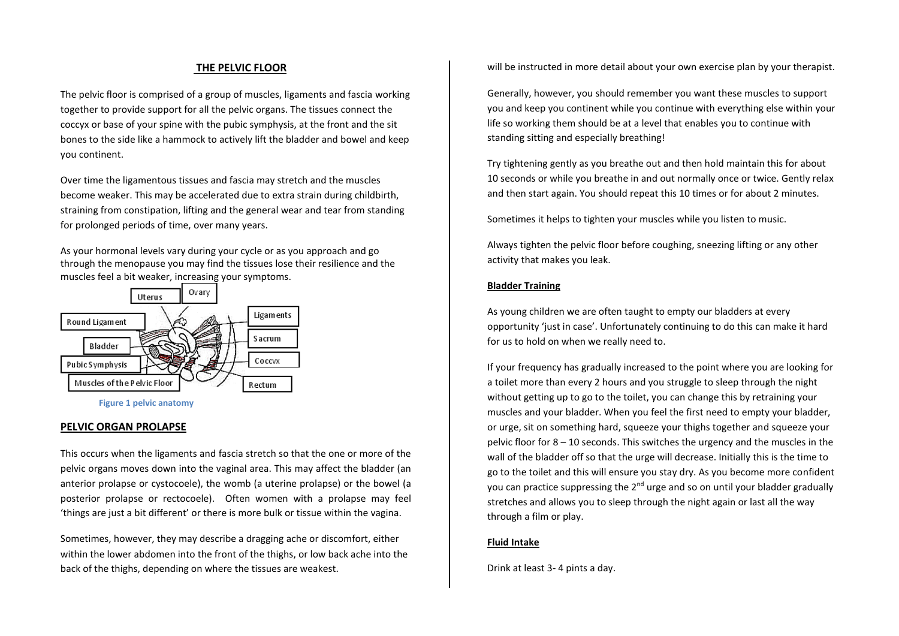## **Fi THE PELVIC FLOOR**

The pelvic floor is comprised of a group of muscles, ligaments and fascia working together to provide support for all the pelvic organs. The tissues connect the coccyx or base of your spine with the pubic symphysis, at the front and the sit bones to the side like a hammock to actively lift the bladder and bowel and keep you continent.

Over time the ligamentous tissues and fascia may stretch and the muscles become weaker. This may be accelerated due to extra strain during childbirth, straining from constipation, lifting and the general wear and tear from standing for prolonged periods of time, over many years.

As your hormonal levels vary during your cycle or as you approach and go through the menopause you may find the tissues lose their resilience and the muscles feel a bit weaker, increasing your symptoms.



**Figure 1 pelvic anatomy**

## **PELVIC ORGAN PROLAPSE**

This occurs when the ligaments and fascia stretch so that the one or more of the pelvic organs moves down into the vaginal area. This may affect the bladder (an anterior prolapse or cystocoele), the womb (a uterine prolapse) or the bowel (a posterior prolapse or rectocoele). Often women with a prolapse may feel 'things are just a bit different' or there is more bulk or tissue within the vagina.

Sometimes, however, they may describe a dragging ache or discomfort, either within the lower abdomen into the front of the thighs, or low back ache into the back of the thighs, depending on where the tissues are weakest.

will be instructed in more detail about your own exercise plan by your therapist.

Generally, however, you should remember you want these muscles to support you and keep you continent while you continue with everything else within your life so working them should be at a level that enables you to continue with standing sitting and especially breathing!

Try tightening gently as you breathe out and then hold maintain this for about 10 seconds or while you breathe in and out normally once or twice. Gently relax and then start again. You should repeat this 10 times or for about 2 minutes.

Sometimes it helps to tighten your muscles while you listen to music.

Always tighten the pelvic floor before coughing, sneezing lifting or any other activity that makes you leak.

#### **Bladder Training**

As young children we are often taught to empty our bladders at every opportunity 'just in case'. Unfortunately continuing to do this can make it hard for us to hold on when we really need to.

If your frequency has gradually increased to the point where you are looking for a toilet more than every 2 hours and you struggle to sleep through the night without getting up to go to the toilet, you can change this by retraining your muscles and your bladder. When you feel the first need to empty your bladder, or urge, sit on something hard, squeeze your thighs together and squeeze your pelvic floor for 8 – 10 seconds. This switches the urgency and the muscles in the wall of the bladder off so that the urge will decrease. Initially this is the time to go to the toilet and this will ensure you stay dry. As you become more confident you can practice suppressing the 2<sup>nd</sup> urge and so on until your bladder gradually stretches and allows you to sleep through the night again or last all the way through a film or play.

#### **Fluid Intake**

Drink at least 3- 4 pints a day.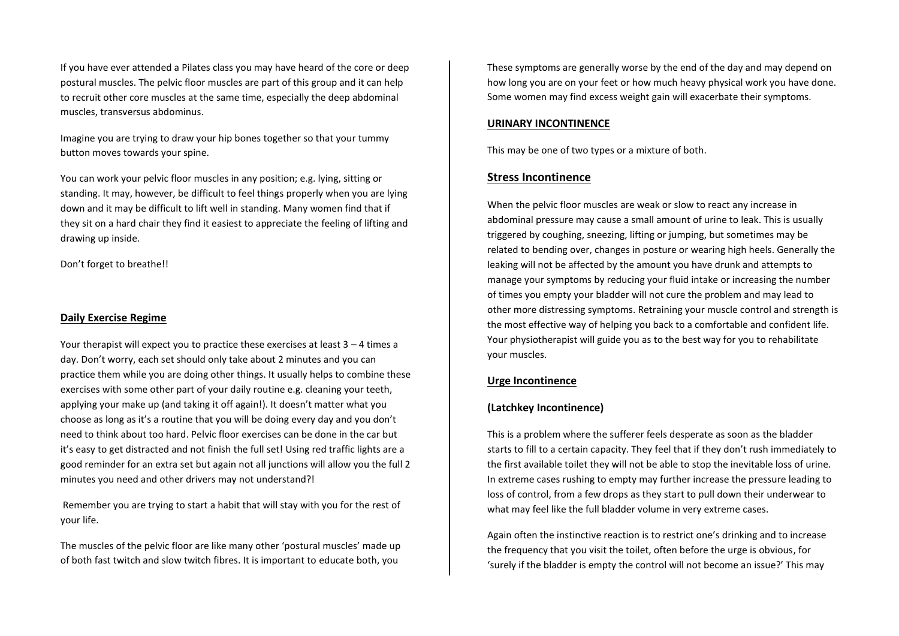If you have ever attended a Pilates class you may have heard of the core or deep postural muscles. The pelvic floor muscles are part of this group and it can help to recruit other core muscles at the same time, especially the deep abdominal muscles, transversus abdominus.

Imagine you are trying to draw your hip bones together so that your tummy button moves towards your spine.

You can work your pelvic floor muscles in any position; e.g. lying, sitting or standing. It may, however, be difficult to feel things properly when you are lying down and it may be difficult to lift well in standing. Many women find that if they sit on a hard chair they find it easiest to appreciate the feeling of lifting and drawing up inside.

Don't forget to breathe!!

## **Daily Exercise Regime**

Your therapist will expect you to practice these exercises at least 3 – 4 times a day. Don't worry, each set should only take about 2 minutes and you can practice them while you are doing other things. It usually helps to combine these exercises with some other part of your daily routine e.g. cleaning your teeth, applying your make up (and taking it off again!). It doesn't matter what you choose as long as it's a routine that you will be doing every day and you don't need to think about too hard. Pelvic floor exercises can be done in the car but it's easy to get distracted and not finish the full set! Using red traffic lights are a good reminder for an extra set but again not all junctions will allow you the full 2 minutes you need and other drivers may not understand?!

Remember you are trying to start a habit that will stay with you for the rest of your life.

The muscles of the pelvic floor are like many other 'postural muscles' made up of both fast twitch and slow twitch fibres. It is important to educate both, you

These symptoms are generally worse by the end of the day and may depend on how long you are on your feet or how much heavy physical work you have done. Some women may find excess weight gain will exacerbate their symptoms.

## **URINARY INCONTINENCE**

This may be one of two types or a mixture of both.

# **Stress Incontinence**

When the pelvic floor muscles are weak or slow to react any increase in abdominal pressure may cause a small amount of urine to leak. This is usually triggered by coughing, sneezing, lifting or jumping, but sometimes may be related to bending over, changes in posture or wearing high heels. Generally the leaking will not be affected by the amount you have drunk and attempts to manage your symptoms by reducing your fluid intake or increasing the number of times you empty your bladder will not cure the problem and may lead to other more distressing symptoms. Retraining your muscle control and strength is the most effective way of helping you back to a comfortable and confident life. Your physiotherapist will guide you as to the best way for you to rehabilitate your muscles.

# **Urge Incontinence**

# **(Latchkey Incontinence)**

This is a problem where the sufferer feels desperate as soon as the bladder starts to fill to a certain capacity. They feel that if they don't rush immediately to the first available toilet they will not be able to stop the inevitable loss of urine. In extreme cases rushing to empty may further increase the pressure leading to loss of control, from a few drops as they start to pull down their underwear to what may feel like the full bladder volume in very extreme cases.

Again often the instinctive reaction is to restrict one's drinking and to increase the frequency that you visit the toilet, often before the urge is obvious, for 'surely if the bladder is empty the control will not become an issue?' This may